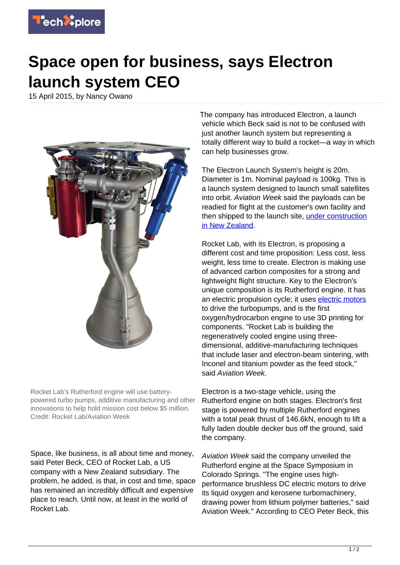

## **Space open for business, says Electron launch system CEO**

15 April 2015, by Nancy Owano



Rocket Lab's Rutherford engine will use batterypowered turbo pumps, additive manufacturing and other innovations to help hold mission cost below \$5 million. Credit: Rocket Lab/Aviation Week

Space, like business, is all about time and money, said Peter Beck, CEO of Rocket Lab, a US company with a New Zealand subsidiary. The problem, he added, is that, in cost and time, space has remained an incredibly difficult and expensive place to reach. Until now, at least in the world of Rocket Lab.

The company has introduced Electron, a launch vehicle which Beck said is not to be confused with just another launch system but representing a totally different way to build a rocket—a way in which can help businesses grow.

The Electron Launch System's height is 20m. Diameter is 1m. Nominal payload is 100kg. This is a launch system designed to launch small satellites into orbit. Aviation Week said the payloads can be readied for flight at the customer's own facility and then shipped to the launch site, [under construction](http://aviationweek.com/space/rocket-lab-unveils-battery-powered-turbomachinery) [in New Zealand.](http://aviationweek.com/space/rocket-lab-unveils-battery-powered-turbomachinery)

Rocket Lab, with its Electron, is proposing a different cost and time proposition: Less cost, less weight, less time to create. Electron is making use of advanced carbon composites for a strong and lightweight flight structure. Key to the Electron's unique composition is its Rutherford engine. It has an electric propulsion cycle; it uses [electric motors](https://techxplore.com/tags/electric+motors/) to drive the turbopumps, and is the first oxygen/hydrocarbon engine to use 3D printing for components. "Rocket Lab is building the regeneratively cooled engine using threedimensional, additive-manufacturing techniques that include laser and electron-beam sintering, with Inconel and titanium powder as the feed stock," said Aviation Week.

Electron is a two-stage vehicle, using the Rutherford engine on both stages. Electron's first stage is powered by multiple Rutherford engines with a total peak thrust of 146.6kN, enough to lift a fully laden double decker bus off the ground, said the company.

Aviation Week said the company unveiled the Rutherford engine at the Space Symposium in Colorado Springs. "The engine uses highperformance brushless DC electric motors to drive its liquid oxygen and kerosene turbomachinery, drawing power from lithium polymer batteries," said Aviation Week." According to CEO Peter Beck, this